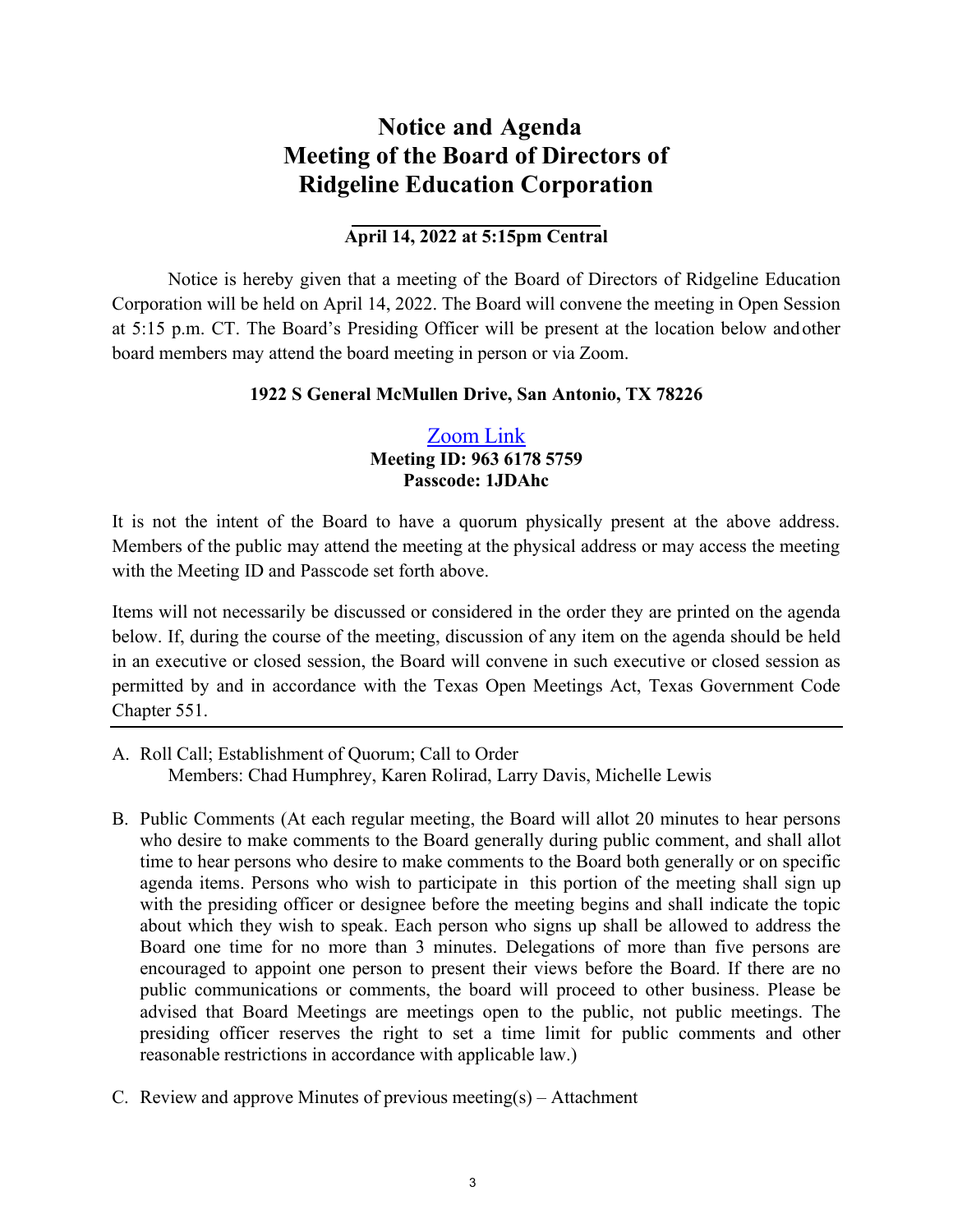# **Notice and Agenda Meeting of the Board of Directors of Ridgeline Education Corporation**

## **April 14, 2022 at 5:15pm Central**

Notice is hereby given that a meeting of the Board of Directors of Ridgeline Education Corporation will be held on April 14, 2022. The Board will convene the meeting in Open Session at 5:15 p.m. CT. The Board's Presiding Officer will be present at the location below and other board members may attend the board meeting in person or via Zoom.

#### **1922 S General McMullen Drive, San Antonio, TX 78226**

## [Zoom](https://zoom.us/j/96361785759?pwd=UTZxMWU0Q21TalRJQXNhclFObUFWQT09) Link **Meeting ID: 963 6178 5759 Passcode: 1JDAhc**

It is not the intent of the Board to have a quorum physically present at the above address. Members of the public may attend the meeting at the physical address or may access the meeting with the Meeting ID and Passcode set forth above.

Items will not necessarily be discussed or considered in the order they are printed on the agenda below. If, during the course of the meeting, discussion of any item on the agenda should be held in an executive or closed session, the Board will convene in such executive or closed session as permitted by and in accordance with the Texas Open Meetings Act, Texas Government Code Chapter 551.

- A. Roll Call; Establishment of Quorum; Call to Order Members: Chad Humphrey, Karen Rolirad, Larry Davis, Michelle Lewis
- B. Public Comments (At each regular meeting, the Board will allot 20 minutes to hear persons who desire to make comments to the Board generally during public comment, and shall allot time to hear persons who desire to make comments to the Board both generally or on specific agenda items. Persons who wish to participate in this portion of the meeting shall sign up with the presiding officer or designee before the meeting begins and shall indicate the topic about which they wish to speak. Each person who signs up shall be allowed to address the Board one time for no more than 3 minutes. Delegations of more than five persons are encouraged to appoint one person to present their views before the Board. If there are no public communications or comments, the board will proceed to other business. Please be advised that Board Meetings are meetings open to the public, not public meetings. The presiding officer reserves the right to set a time limit for public comments and other reasonable restrictions in accordance with applicable law.)
- C. Review and approve Minutes of previous meeting(s) Attachment